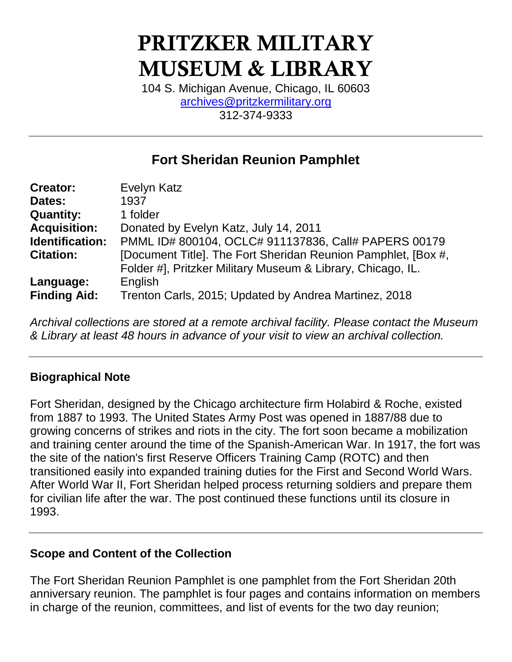# PRITZKER MILITARY MUSEUM & LIBRARY

104 S. Michigan Avenue, Chicago, IL 60603 [archives@pritzkermilitary.org](mailto:archives@pritzkermilitary.org) 312-374-9333

# **Fort Sheridan Reunion Pamphlet**

| <b>Creator:</b>     | Evelyn Katz                                                   |  |
|---------------------|---------------------------------------------------------------|--|
| Dates:              | 1937                                                          |  |
| <b>Quantity:</b>    | 1 folder                                                      |  |
| <b>Acquisition:</b> | Donated by Evelyn Katz, July 14, 2011                         |  |
| Identification:     | PMML ID# 800104, OCLC# 911137836, Call# PAPERS 00179          |  |
| <b>Citation:</b>    | [Document Title]. The Fort Sheridan Reunion Pamphlet, [Box #, |  |
|                     | Folder #], Pritzker Military Museum & Library, Chicago, IL.   |  |
| Language:           | English                                                       |  |
| <b>Finding Aid:</b> | Trenton Carls, 2015; Updated by Andrea Martinez, 2018         |  |

*Archival collections are stored at a remote archival facility. Please contact the Museum & Library at least 48 hours in advance of your visit to view an archival collection.*

## **Biographical Note**

Fort Sheridan, designed by the Chicago architecture firm Holabird & Roche, existed from 1887 to 1993. The United States Army Post was opened in 1887/88 due to growing concerns of strikes and riots in the city. The fort soon became a mobilization and training center around the time of the Spanish-American War. In 1917, the fort was the site of the nation's first Reserve Officers Training Camp (ROTC) and then transitioned easily into expanded training duties for the First and Second World Wars. After World War II, Fort Sheridan helped process returning soldiers and prepare them for civilian life after the war. The post continued these functions until its closure in 1993.

#### **Scope and Content of the Collection**

The Fort Sheridan Reunion Pamphlet is one pamphlet from the Fort Sheridan 20th anniversary reunion. The pamphlet is four pages and contains information on members in charge of the reunion, committees, and list of events for the two day reunion;